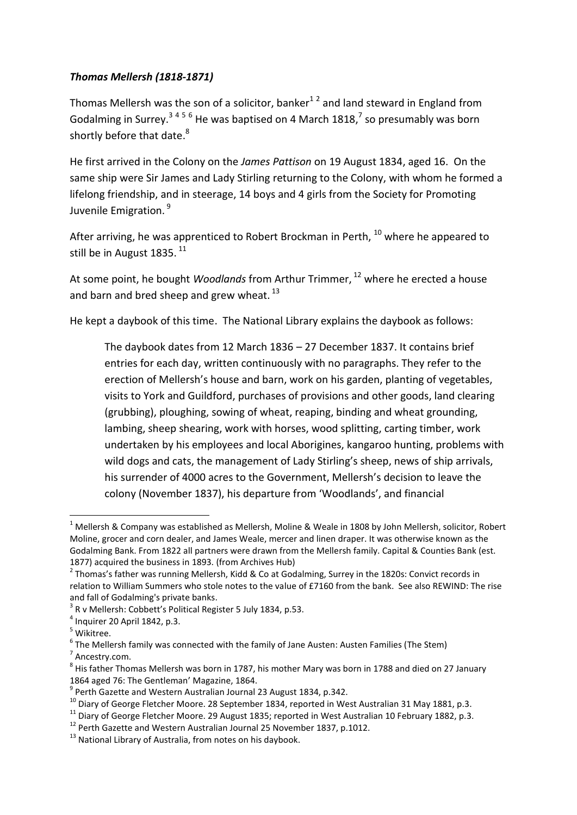## *Thomas Mellersh (1818-1871)*

Thomas Mellersh was the son of a solicitor, banker<sup>12</sup> and land steward in England from Godalming in Surrey.<sup>3456</sup> He was baptised on 4 March 1818,<sup>7</sup> so presumably was born shortly before that date.<sup>8</sup>

He first arrived in the Colony on the *James Pattison* on 19 August 1834, aged 16. On the same ship were Sir James and Lady Stirling returning to the Colony, with whom he formed a lifelong friendship, and in steerage, 14 boys and 4 girls from the Society for Promoting Juvenile Emigration.<sup>9</sup>

After arriving, he was apprenticed to Robert Brockman in Perth, <sup>10</sup> where he appeared to still be in August 1835.<sup>11</sup>

At some point, he bought *Woodlands* from Arthur Trimmer, <sup>12</sup> where he erected a house and barn and bred sheep and grew wheat.<sup>13</sup>

He kept a daybook of this time. The National Library explains the daybook as follows:

The daybook dates from 12 March 1836 – 27 December 1837. It contains brief entries for each day, written continuously with no paragraphs. They refer to the erection of Mellersh's house and barn, work on his garden, planting of vegetables, visits to York and Guildford, purchases of provisions and other goods, land clearing (grubbing), ploughing, sowing of wheat, reaping, binding and wheat grounding, lambing, sheep shearing, work with horses, wood splitting, carting timber, work undertaken by his employees and local Aborigines, kangaroo hunting, problems with wild dogs and cats, the management of Lady Stirling's sheep, news of ship arrivals, his surrender of 4000 acres to the Government, Mellersh's decision to leave the colony (November 1837), his departure from 'Woodlands', and financial

 $\overline{\phantom{a}}$ 

 $1$  Mellersh & Company was established as Mellersh, Moline & Weale in 1808 by John Mellersh, solicitor, Robert Moline, grocer and corn dealer, and James Weale, mercer and linen draper. It was otherwise known as the Godalming Bank. From 1822 all partners were drawn from the Mellersh family. Capital & Counties Bank (est. 1877) acquired the business in 1893. (from Archives Hub)

<sup>&</sup>lt;sup>2</sup> Thomas's father was running Mellersh, Kidd & Co at Godalming, Surrey in the 1820s: Convict records in relation to William Summers who stole notes to the value of £7160 from the bank. See also REWIND: The rise and fall of Godalming's private banks.

 $3$  R v Mellersh: Cobbett's Political Register 5 July 1834, p.53.

 $<sup>4</sup>$  Inquirer 20 April 1842, p.3.</sup>

<sup>5</sup> Wikitree.

<sup>6</sup> The Mellersh family was connected with the family of Jane Austen: Austen Families (The Stem)

<sup>&</sup>lt;sup>7</sup> Ancestry.com.

 $^8$  His father Thomas Mellersh was born in 1787, his mother Mary was born in 1788 and died on 27 January 1864 aged 76: The Gentleman' Magazine, 1864.

<sup>9</sup> Perth Gazette and Western Australian Journal 23 August 1834, p.342.

<sup>&</sup>lt;sup>10</sup> Diarv of George Fletcher Moore. 28 September 1834, reported in West Australian 31 May 1881, p.3.

 $11$  Diary of George Fletcher Moore. 29 August 1835; reported in West Australian 10 February 1882, p.3.

<sup>12</sup> Perth Gazette and Western Australian Journal 25 November 1837, p.1012.

<sup>&</sup>lt;sup>13</sup> National Library of Australia, from notes on his daybook.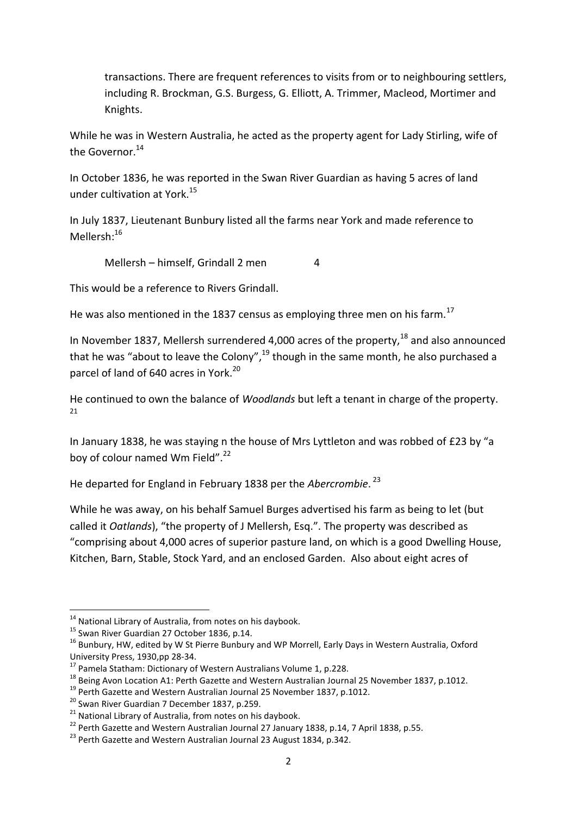transactions. There are frequent references to visits from or to neighbouring settlers, including R. Brockman, G.S. Burgess, G. Elliott, A. Trimmer, Macleod, Mortimer and Knights.

While he was in Western Australia, he acted as the property agent for Lady Stirling, wife of the Governor.<sup>14</sup>

In October 1836, he was reported in the Swan River Guardian as having 5 acres of land under cultivation at York.<sup>15</sup>

In July 1837, Lieutenant Bunbury listed all the farms near York and made reference to Mellersh:<sup>16</sup>

Mellersh – himself, Grindall 2 men 4

This would be a reference to Rivers Grindall.

He was also mentioned in the 1837 census as employing three men on his farm.<sup>17</sup>

In November 1837, Mellersh surrendered 4,000 acres of the property.<sup>18</sup> and also announced that he was "about to leave the Colony",<sup>19</sup> though in the same month, he also purchased a parcel of land of 640 acres in York.<sup>20</sup>

He continued to own the balance of *Woodlands* but left a tenant in charge of the property.  $21$ 

In January 1838, he was staying n the house of Mrs Lyttleton and was robbed of £23 by "a boy of colour named Wm Field".<sup>22</sup>

He departed for England in February 1838 per the *Abercrombie*. 23

While he was away, on his behalf Samuel Burges advertised his farm as being to let (but called it *Oatlands*), "the property of J Mellersh, Esq.". The property was described as "comprising about 4,000 acres of superior pasture land, on which is a good Dwelling House, Kitchen, Barn, Stable, Stock Yard, and an enclosed Garden. Also about eight acres of

1

<sup>&</sup>lt;sup>14</sup> National Library of Australia, from notes on his daybook.

<sup>&</sup>lt;sup>15</sup> Swan River Guardian 27 October 1836, p.14.

<sup>&</sup>lt;sup>16</sup> Bunbury, HW, edited by W St Pierre Bunbury and WP Morrell, Early Days in Western Australia, Oxford University Press, 1930,pp 28-34.

<sup>&</sup>lt;sup>17</sup> Pamela Statham: Dictionary of Western Australians Volume 1, p.228.

<sup>&</sup>lt;sup>18</sup> Being Avon Location A1: Perth Gazette and Western Australian Journal 25 November 1837, p.1012.

<sup>&</sup>lt;sup>19</sup> Perth Gazette and Western Australian Journal 25 November 1837, p.1012.

<sup>&</sup>lt;sup>20</sup> Swan River Guardian 7 December 1837, p.259.

<sup>&</sup>lt;sup>21</sup> National Library of Australia, from notes on his daybook.

<sup>&</sup>lt;sup>22</sup> Perth Gazette and Western Australian Journal 27 January 1838, p.14, 7 April 1838, p.55.

<sup>&</sup>lt;sup>23</sup> Perth Gazette and Western Australian Journal 23 August 1834, p.342.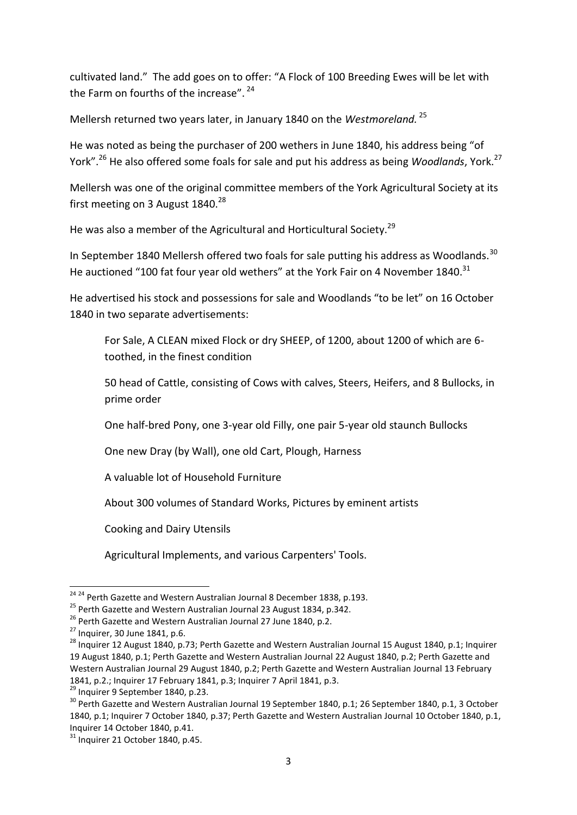cultivated land." The add goes on to offer: "A Flock of 100 Breeding Ewes will be let with the Farm on fourths of the increase". <sup>24</sup>

Mellersh returned two years later, in January 1840 on the *Westmoreland.* <sup>25</sup>

He was noted as being the purchaser of 200 wethers in June 1840, his address being "of York".<sup>26</sup> He also offered some foals for sale and put his address as being *Woodlands*, York.<sup>27</sup>

Mellersh was one of the original committee members of the York Agricultural Society at its first meeting on 3 August  $1840.^{28}$ 

He was also a member of the Agricultural and Horticultural Society.<sup>29</sup>

In September 1840 Mellersh offered two foals for sale putting his address as Woodlands.<sup>30</sup> He auctioned "100 fat four year old wethers" at the York Fair on 4 November 1840.<sup>31</sup>

He advertised his stock and possessions for sale and Woodlands "to be let" on 16 October 1840 in two separate advertisements:

For Sale, A CLEAN mixed Flock or dry SHEEP, of 1200, about 1200 of which are 6 toothed, in the finest condition

50 head of Cattle, consisting of Cows with calves, Steers, Heifers, and 8 Bullocks, in prime order

One half-bred Pony, one 3-year old Filly, one pair 5-year old staunch Bullocks

One new Dray (by Wall), one old Cart, Plough, Harness

A valuable lot of Household Furniture

About 300 volumes of Standard Works, Pictures by eminent artists

Cooking and Dairy Utensils

Agricultural Implements, and various Carpenters' Tools.

1

<sup>&</sup>lt;sup>24 24</sup> Perth Gazette and Western Australian Journal 8 December 1838, p.193.

<sup>&</sup>lt;sup>25</sup> Perth Gazette and Western Australian Journal 23 August 1834, p.342.

<sup>&</sup>lt;sup>26</sup> Perth Gazette and Western Australian Journal 27 June 1840, p.2.

 $^{27}$  Inquirer, 30 June 1841, p.6.

<sup>&</sup>lt;sup>28</sup> Inquirer 12 August 1840, p.73; Perth Gazette and Western Australian Journal 15 August 1840, p.1; Inquirer 19 August 1840, p.1; Perth Gazette and Western Australian Journal 22 August 1840, p.2; Perth Gazette and Western Australian Journal 29 August 1840, p.2; Perth Gazette and Western Australian Journal 13 February 1841, p.2.; Inquirer 17 February 1841, p.3; Inquirer 7 April 1841, p.3.

 $^{29}$  Inquirer 9 September 1840, p.23.

<sup>&</sup>lt;sup>30</sup> Perth Gazette and Western Australian Journal 19 September 1840, p.1; 26 September 1840, p.1, 3 October 1840, p.1; Inquirer 7 October 1840, p.37; Perth Gazette and Western Australian Journal 10 October 1840, p.1, Inquirer 14 October 1840, p.41.

 $31$  Inquirer 21 October 1840, p.45.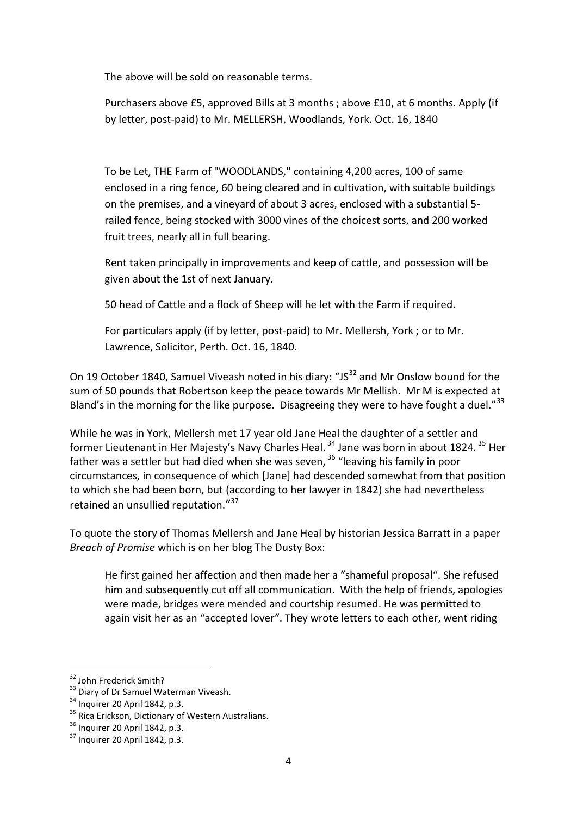The above will be sold on reasonable terms.

Purchasers above £5, approved Bills at 3 months ; above £10, at 6 months. Apply (if by letter, post-paid) to Mr. MELLERSH, Woodlands, York. Oct. 16, 1840

To be Let, THE Farm of "WOODLANDS," containing 4,200 acres, 100 of same enclosed in a ring fence, 60 being cleared and in cultivation, with suitable buildings on the premises, and a vineyard of about 3 acres, enclosed with a substantial 5 railed fence, being stocked with 3000 vines of the choicest sorts, and 200 worked fruit trees, nearly all in full bearing.

Rent taken principally in improvements and keep of cattle, and possession will be given about the 1st of next January.

50 head of Cattle and a flock of Sheep will he let with the Farm if required.

For particulars apply (if by letter, post-paid) to Mr. Mellersh, York ; or to Mr. Lawrence, Solicitor, Perth. Oct. 16, 1840.

On 19 October 1840, Samuel Viveash noted in his diary: "JS $^{32}$  and Mr Onslow bound for the sum of 50 pounds that Robertson keep the peace towards Mr Mellish. Mr M is expected at Bland's in the morning for the like purpose. Disagreeing they were to have fought a duel."<sup>33</sup>

While he was in York, Mellersh met 17 year old Jane Heal the daughter of a settler and former Lieutenant in Her Majesty's Navy Charles Heal. <sup>34</sup> Jane was born in about 1824. <sup>35</sup> Her father was a settler but had died when she was seven,  $36$  "leaving his family in poor circumstances, in consequence of which [Jane] had descended somewhat from that position to which she had been born, but (according to her lawyer in 1842) she had nevertheless retained an unsullied reputation."<sup>37</sup>

To quote the story of Thomas Mellersh and Jane Heal by historian Jessica Barratt in a paper *Breach of Promise* which is on her blog The Dusty Box:

He first gained her affection and then made her a "shameful proposal". She refused him and subsequently cut off all communication. With the help of friends, apologies were made, bridges were mended and courtship resumed. He was permitted to again visit her as an "accepted lover". They wrote letters to each other, went riding

**<sup>.</sup>** <sup>32</sup> John Frederick Smith?

<sup>&</sup>lt;sup>33</sup> Diary of Dr Samuel Waterman Viveash.

<sup>34</sup> Inquirer 20 April 1842, p.3.

<sup>&</sup>lt;sup>35</sup> Rica Erickson, Dictionary of Western Australians.

<sup>36</sup> Inquirer 20 April 1842, p.3.

 $37$  Inquirer 20 April 1842, p.3.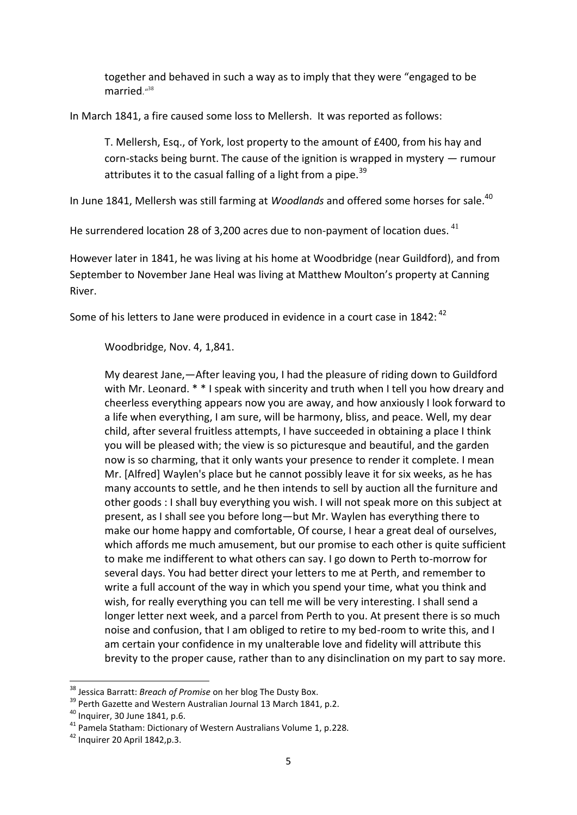together and behaved in such a way as to imply that they were "engaged to be married."<sup>38</sup>

In March 1841, a fire caused some loss to Mellersh. It was reported as follows:

T. Mellersh, Esq., of York, lost property to the amount of £400, from his hay and corn-stacks being burnt. The cause of the ignition is wrapped in mystery — rumour attributes it to the casual falling of a light from a pipe.<sup>39</sup>

In June 1841, Mellersh was still farming at *Woodlands* and offered some horses for sale.<sup>40</sup>

He surrendered location 28 of 3,200 acres due to non-payment of location dues.  $41$ 

However later in 1841, he was living at his home at Woodbridge (near Guildford), and from September to November Jane Heal was living at Matthew Moulton's property at Canning River.

Some of his letters to Jane were produced in evidence in a court case in 1842: <sup>42</sup>

Woodbridge, Nov. 4, 1,841.

My dearest Jane,—After leaving you, I had the pleasure of riding down to Guildford with Mr. Leonard. \* \* I speak with sincerity and truth when I tell you how dreary and cheerless everything appears now you are away, and how anxiously I look forward to a life when everything, I am sure, will be harmony, bliss, and peace. Well, my dear child, after several fruitless attempts, I have succeeded in obtaining a place I think you will be pleased with; the view is so picturesque and beautiful, and the garden now is so charming, that it only wants your presence to render it complete. I mean Mr. [Alfred] Waylen's place but he cannot possibly leave it for six weeks, as he has many accounts to settle, and he then intends to sell by auction all the furniture and other goods : I shall buy everything you wish. I will not speak more on this subject at present, as I shall see you before long—but Mr. Waylen has everything there to make our home happy and comfortable, Of course, I hear a great deal of ourselves, which affords me much amusement, but our promise to each other is quite sufficient to make me indifferent to what others can say. I go down to Perth to-morrow for several days. You had better direct your letters to me at Perth, and remember to write a full account of the way in which you spend your time, what you think and wish, for really everything you can tell me will be very interesting. I shall send a longer letter next week, and a parcel from Perth to you. At present there is so much noise and confusion, that I am obliged to retire to my bed-room to write this, and I am certain your confidence in my unalterable love and fidelity will attribute this brevity to the proper cause, rather than to any disinclination on my part to say more.

 $\overline{\phantom{a}}$ 

<sup>38</sup> Jessica Barratt: *Breach of Promise* on her blog The Dusty Box.

<sup>&</sup>lt;sup>39</sup> Perth Gazette and Western Australian Journal 13 March 1841, p.2.

<sup>40</sup> Inquirer, 30 June 1841, p.6.

<sup>41</sup> Pamela Statham: Dictionary of Western Australians Volume 1, p.228.

 $42$  Inquirer 20 April 1842, p.3.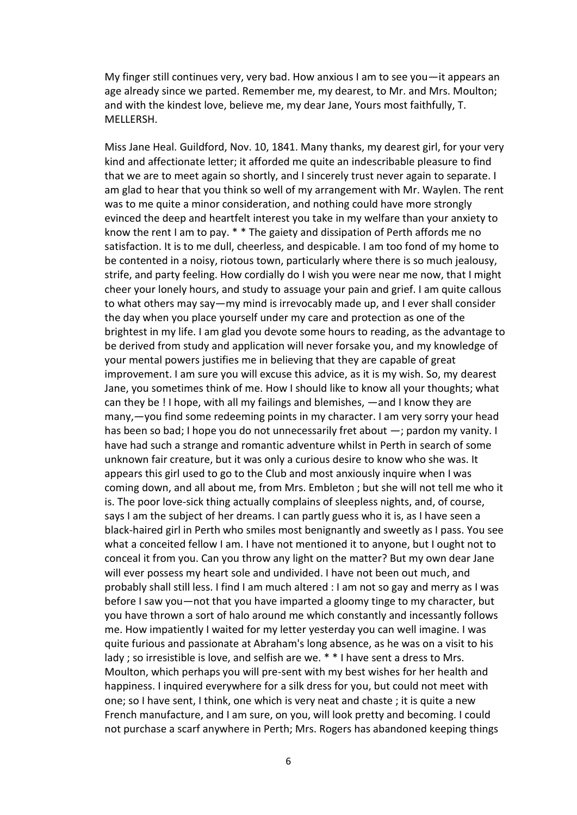My finger still continues very, very bad. How anxious I am to see you—it appears an age already since we parted. Remember me, my dearest, to Mr. and Mrs. Moulton; and with the kindest love, believe me, my dear Jane, Yours most faithfully, T. MELLERSH.

Miss Jane Heal. Guildford, Nov. 10, 1841. Many thanks, my dearest girl, for your very kind and affectionate letter; it afforded me quite an indescribable pleasure to find that we are to meet again so shortly, and I sincerely trust never again to separate. I am glad to hear that you think so well of my arrangement with Mr. Waylen. The rent was to me quite a minor consideration, and nothing could have more strongly evinced the deep and heartfelt interest you take in my welfare than your anxiety to know the rent I am to pay. \* \* The gaiety and dissipation of Perth affords me no satisfaction. It is to me dull, cheerless, and despicable. I am too fond of my home to be contented in a noisy, riotous town, particularly where there is so much jealousy, strife, and party feeling. How cordially do I wish you were near me now, that I might cheer your lonely hours, and study to assuage your pain and grief. I am quite callous to what others may say—my mind is irrevocably made up, and I ever shall consider the day when you place yourself under my care and protection as one of the brightest in my life. I am glad you devote some hours to reading, as the advantage to be derived from study and application will never forsake you, and my knowledge of your mental powers justifies me in believing that they are capable of great improvement. I am sure you will excuse this advice, as it is my wish. So, my dearest Jane, you sometimes think of me. How I should like to know all your thoughts; what can they be ! I hope, with all my failings and blemishes, —and I know they are many,—you find some redeeming points in my character. I am very sorry your head has been so bad; I hope you do not unnecessarily fret about —; pardon my vanity. I have had such a strange and romantic adventure whilst in Perth in search of some unknown fair creature, but it was only a curious desire to know who she was. It appears this girl used to go to the Club and most anxiously inquire when I was coming down, and all about me, from Mrs. Embleton ; but she will not tell me who it is. The poor love-sick thing actually complains of sleepless nights, and, of course, says I am the subject of her dreams. I can partly guess who it is, as I have seen a black-haired girl in Perth who smiles most benignantly and sweetly as I pass. You see what a conceited fellow I am. I have not mentioned it to anyone, but I ought not to conceal it from you. Can you throw any light on the matter? But my own dear Jane will ever possess my heart sole and undivided. I have not been out much, and probably shall still less. I find I am much altered : I am not so gay and merry as I was before I saw you—not that you have imparted a gloomy tinge to my character, but you have thrown a sort of halo around me which constantly and incessantly follows me. How impatiently I waited for my letter yesterday you can well imagine. I was quite furious and passionate at Abraham's long absence, as he was on a visit to his lady ; so irresistible is love, and selfish are we. \* \* I have sent a dress to Mrs. Moulton, which perhaps you will pre-sent with my best wishes for her health and happiness. I inquired everywhere for a silk dress for you, but could not meet with one; so I have sent, I think, one which is very neat and chaste ; it is quite a new French manufacture, and I am sure, on you, will look pretty and becoming. I could not purchase a scarf anywhere in Perth; Mrs. Rogers has abandoned keeping things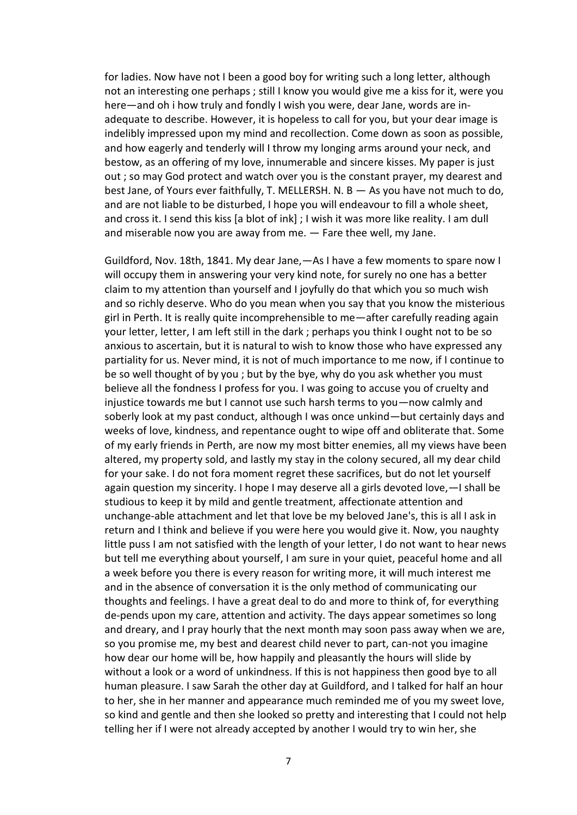for ladies. Now have not I been a good boy for writing such a long letter, although not an interesting one perhaps ; still I know you would give me a kiss for it, were you here—and oh i how truly and fondly I wish you were, dear Jane, words are inadequate to describe. However, it is hopeless to call for you, but your dear image is indelibly impressed upon my mind and recollection. Come down as soon as possible, and how eagerly and tenderly will I throw my longing arms around your neck, and bestow, as an offering of my love, innumerable and sincere kisses. My paper is just out ; so may God protect and watch over you is the constant prayer, my dearest and best Jane, of Yours ever faithfully, T. MELLERSH. N. B — As you have not much to do, and are not liable to be disturbed, I hope you will endeavour to fill a whole sheet, and cross it. I send this kiss [a blot of ink] ; I wish it was more like reality. I am dull and miserable now you are away from me. — Fare thee well, my Jane.

Guildford, Nov. 18th, 1841. My dear Jane,—As I have a few moments to spare now I will occupy them in answering your very kind note, for surely no one has a better claim to my attention than yourself and I joyfully do that which you so much wish and so richly deserve. Who do you mean when you say that you know the misterious girl in Perth. It is really quite incomprehensible to me—after carefully reading again your letter, letter, I am left still in the dark ; perhaps you think I ought not to be so anxious to ascertain, but it is natural to wish to know those who have expressed any partiality for us. Never mind, it is not of much importance to me now, if I continue to be so well thought of by you ; but by the bye, why do you ask whether you must believe all the fondness I profess for you. I was going to accuse you of cruelty and injustice towards me but I cannot use such harsh terms to you—now calmly and soberly look at my past conduct, although I was once unkind—but certainly days and weeks of love, kindness, and repentance ought to wipe off and obliterate that. Some of my early friends in Perth, are now my most bitter enemies, all my views have been altered, my property sold, and lastly my stay in the colony secured, all my dear child for your sake. I do not fora moment regret these sacrifices, but do not let yourself again question my sincerity. I hope I may deserve all a girls devoted love,—I shall be studious to keep it by mild and gentle treatment, affectionate attention and unchange-able attachment and let that love be my beloved Jane's, this is all I ask in return and I think and believe if you were here you would give it. Now, you naughty little puss I am not satisfied with the length of your letter, I do not want to hear news but tell me everything about yourself, I am sure in your quiet, peaceful home and all a week before you there is every reason for writing more, it will much interest me and in the absence of conversation it is the only method of communicating our thoughts and feelings. I have a great deal to do and more to think of, for everything de-pends upon my care, attention and activity. The days appear sometimes so long and dreary, and I pray hourly that the next month may soon pass away when we are, so you promise me, my best and dearest child never to part, can-not you imagine how dear our home will be, how happily and pleasantly the hours will slide by without a look or a word of unkindness. If this is not happiness then good bye to all human pleasure. I saw Sarah the other day at Guildford, and I talked for half an hour to her, she in her manner and appearance much reminded me of you my sweet love, so kind and gentle and then she looked so pretty and interesting that I could not help telling her if I were not already accepted by another I would try to win her, she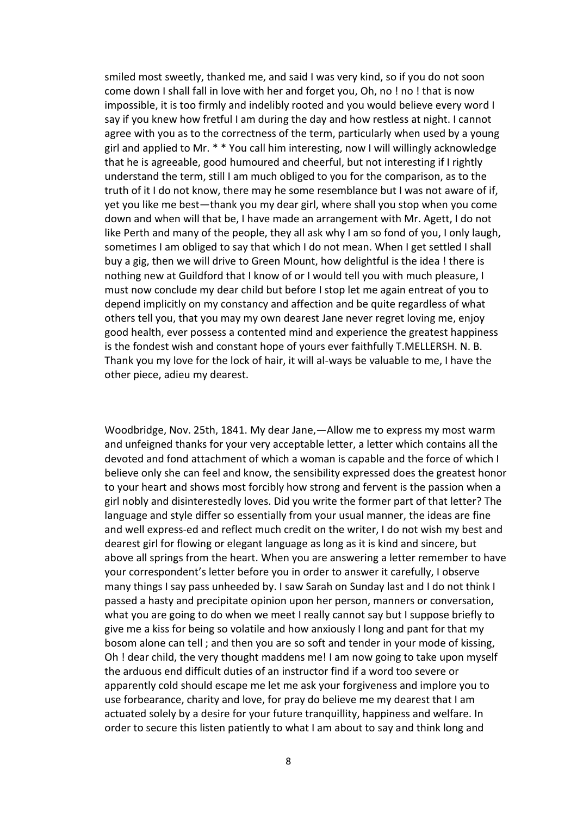smiled most sweetly, thanked me, and said I was very kind, so if you do not soon come down I shall fall in love with her and forget you, Oh, no ! no ! that is now impossible, it is too firmly and indelibly rooted and you would believe every word I say if you knew how fretful I am during the day and how restless at night. I cannot agree with you as to the correctness of the term, particularly when used by a young girl and applied to Mr. \* \* You call him interesting, now I will willingly acknowledge that he is agreeable, good humoured and cheerful, but not interesting if I rightly understand the term, still I am much obliged to you for the comparison, as to the truth of it I do not know, there may he some resemblance but I was not aware of if, yet you like me best—thank you my dear girl, where shall you stop when you come down and when will that be, I have made an arrangement with Mr. Agett, I do not like Perth and many of the people, they all ask why I am so fond of you, I only laugh, sometimes I am obliged to say that which I do not mean. When I get settled I shall buy a gig, then we will drive to Green Mount, how delightful is the idea ! there is nothing new at Guildford that I know of or I would tell you with much pleasure, I must now conclude my dear child but before I stop let me again entreat of you to depend implicitly on my constancy and affection and be quite regardless of what others tell you, that you may my own dearest Jane never regret loving me, enjoy good health, ever possess a contented mind and experience the greatest happiness is the fondest wish and constant hope of yours ever faithfully T.MELLERSH. N. B. Thank you my love for the lock of hair, it will al-ways be valuable to me, I have the other piece, adieu my dearest.

Woodbridge, Nov. 25th, 1841. My dear Jane,—Allow me to express my most warm and unfeigned thanks for your very acceptable letter, a letter which contains all the devoted and fond attachment of which a woman is capable and the force of which I believe only she can feel and know, the sensibility expressed does the greatest honor to your heart and shows most forcibly how strong and fervent is the passion when a girl nobly and disinterestedly loves. Did you write the former part of that letter? The language and style differ so essentially from your usual manner, the ideas are fine and well express-ed and reflect much credit on the writer, I do not wish my best and dearest girl for flowing or elegant language as long as it is kind and sincere, but above all springs from the heart. When you are answering a letter remember to have your correspondent's letter before you in order to answer it carefully, I observe many things I say pass unheeded by. I saw Sarah on Sunday last and I do not think I passed a hasty and precipitate opinion upon her person, manners or conversation, what you are going to do when we meet I really cannot say but I suppose briefly to give me a kiss for being so volatile and how anxiously I long and pant for that my bosom alone can tell ; and then you are so soft and tender in your mode of kissing, Oh ! dear child, the very thought maddens me! I am now going to take upon myself the arduous end difficult duties of an instructor find if a word too severe or apparently cold should escape me let me ask your forgiveness and implore you to use forbearance, charity and love, for pray do believe me my dearest that I am actuated solely by a desire for your future tranquillity, happiness and welfare. In order to secure this listen patiently to what I am about to say and think long and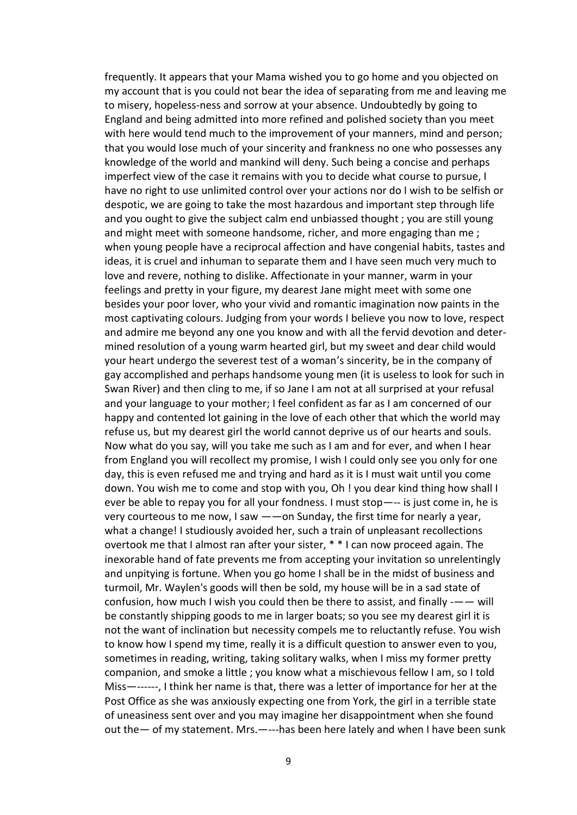frequently. It appears that your Mama wished you to go home and you objected on my account that is you could not bear the idea of separating from me and leaving me to misery, hopeless-ness and sorrow at your absence. Undoubtedly by going to England and being admitted into more refined and polished society than you meet with here would tend much to the improvement of your manners, mind and person; that you would lose much of your sincerity and frankness no one who possesses any knowledge of the world and mankind will deny. Such being a concise and perhaps imperfect view of the case it remains with you to decide what course to pursue, I have no right to use unlimited control over your actions nor do I wish to be selfish or despotic, we are going to take the most hazardous and important step through life and you ought to give the subject calm end unbiassed thought ; you are still young and might meet with someone handsome, richer, and more engaging than me ; when young people have a reciprocal affection and have congenial habits, tastes and ideas, it is cruel and inhuman to separate them and I have seen much very much to love and revere, nothing to dislike. Affectionate in your manner, warm in your feelings and pretty in your figure, my dearest Jane might meet with some one besides your poor lover, who your vivid and romantic imagination now paints in the most captivating colours. Judging from your words I believe you now to love, respect and admire me beyond any one you know and with all the fervid devotion and determined resolution of a young warm hearted girl, but my sweet and dear child would your heart undergo the severest test of a woman's sincerity, be in the company of gay accomplished and perhaps handsome young men (it is useless to look for such in Swan River) and then cling to me, if so Jane I am not at all surprised at your refusal and your language to your mother; I feel confident as far as I am concerned of our happy and contented lot gaining in the love of each other that which the world may refuse us, but my dearest girl the world cannot deprive us of our hearts and souls. Now what do you say, will you take me such as I am and for ever, and when I hear from England you will recollect my promise, I wish I could only see you only for one day, this is even refused me and trying and hard as it is I must wait until you come down. You wish me to come and stop with you, Oh ! you dear kind thing how shall I ever be able to repay you for all your fondness. I must stop—-- is just come in, he is very courteous to me now, I saw ——on Sunday, the first time for nearly a year, what a change! I studiously avoided her, such a train of unpleasant recollections overtook me that I almost ran after your sister, \* \* I can now proceed again. The inexorable hand of fate prevents me from accepting your invitation so unrelentingly and unpitying is fortune. When you go home I shall be in the midst of business and turmoil, Mr. Waylen's goods will then be sold, my house will be in a sad state of confusion, how much I wish you could then be there to assist, and finally -—— will be constantly shipping goods to me in larger boats; so you see my dearest girl it is not the want of inclination but necessity compels me to reluctantly refuse. You wish to know how I spend my time, really it is a difficult question to answer even to you, sometimes in reading, writing, taking solitary walks, when I miss my former pretty companion, and smoke a little ; you know what a mischievous fellow I am, so I told Miss—------, I think her name is that, there was a letter of importance for her at the Post Office as she was anxiously expecting one from York, the girl in a terrible state of uneasiness sent over and you may imagine her disappointment when she found out the— of my statement. Mrs.—---has been here lately and when I have been sunk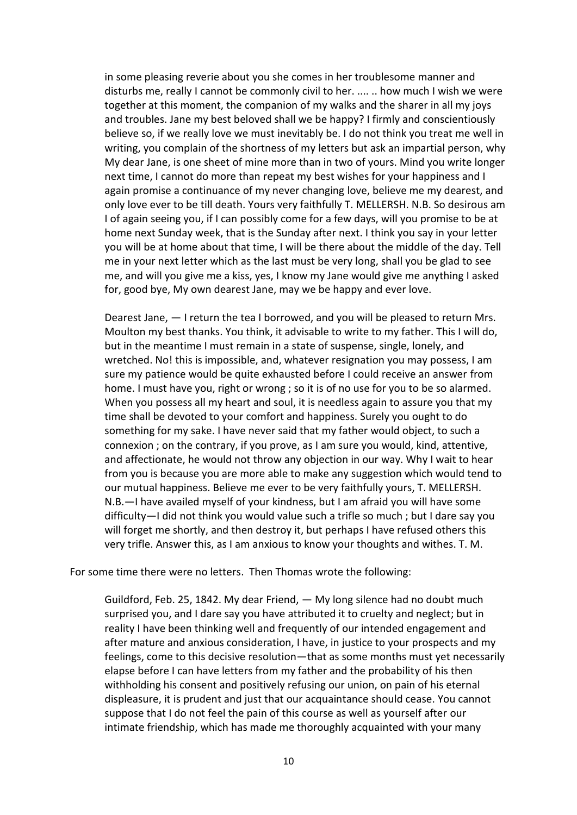in some pleasing reverie about you she comes in her troublesome manner and disturbs me, really I cannot be commonly civil to her. .... .. how much I wish we were together at this moment, the companion of my walks and the sharer in all my joys and troubles. Jane my best beloved shall we be happy? I firmly and conscientiously believe so, if we really love we must inevitably be. I do not think you treat me well in writing, you complain of the shortness of my letters but ask an impartial person, why My dear Jane, is one sheet of mine more than in two of yours. Mind you write longer next time, I cannot do more than repeat my best wishes for your happiness and I again promise a continuance of my never changing love, believe me my dearest, and only love ever to be till death. Yours very faithfully T. MELLERSH. N.B. So desirous am I of again seeing you, if I can possibly come for a few days, will you promise to be at home next Sunday week, that is the Sunday after next. I think you say in your letter you will be at home about that time, I will be there about the middle of the day. Tell me in your next letter which as the last must be very long, shall you be glad to see me, and will you give me a kiss, yes, I know my Jane would give me anything I asked for, good bye, My own dearest Jane, may we be happy and ever love.

Dearest Jane, — I return the tea I borrowed, and you will be pleased to return Mrs. Moulton my best thanks. You think, it advisable to write to my father. This I will do, but in the meantime I must remain in a state of suspense, single, lonely, and wretched. No! this is impossible, and, whatever resignation you may possess, I am sure my patience would be quite exhausted before I could receive an answer from home. I must have you, right or wrong ; so it is of no use for you to be so alarmed. When you possess all my heart and soul, it is needless again to assure you that my time shall be devoted to your comfort and happiness. Surely you ought to do something for my sake. I have never said that my father would object, to such a connexion ; on the contrary, if you prove, as I am sure you would, kind, attentive, and affectionate, he would not throw any objection in our way. Why I wait to hear from you is because you are more able to make any suggestion which would tend to our mutual happiness. Believe me ever to be very faithfully yours, T. MELLERSH. N.B.—I have availed myself of your kindness, but I am afraid you will have some difficulty—I did not think you would value such a trifle so much ; but I dare say you will forget me shortly, and then destroy it, but perhaps I have refused others this very trifle. Answer this, as I am anxious to know your thoughts and withes. T. M.

For some time there were no letters. Then Thomas wrote the following:

Guildford, Feb. 25, 1842. My dear Friend, — My long silence had no doubt much surprised you, and I dare say you have attributed it to cruelty and neglect; but in reality I have been thinking well and frequently of our intended engagement and after mature and anxious consideration, I have, in justice to your prospects and my feelings, come to this decisive resolution—that as some months must yet necessarily elapse before I can have letters from my father and the probability of his then withholding his consent and positively refusing our union, on pain of his eternal displeasure, it is prudent and just that our acquaintance should cease. You cannot suppose that I do not feel the pain of this course as well as yourself after our intimate friendship, which has made me thoroughly acquainted with your many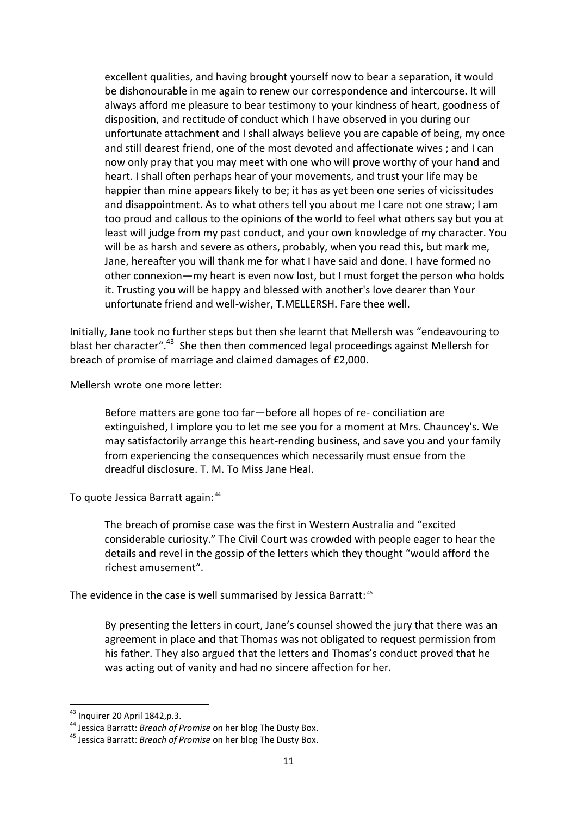excellent qualities, and having brought yourself now to bear a separation, it would be dishonourable in me again to renew our correspondence and intercourse. It will always afford me pleasure to bear testimony to your kindness of heart, goodness of disposition, and rectitude of conduct which I have observed in you during our unfortunate attachment and I shall always believe you are capable of being, my once and still dearest friend, one of the most devoted and affectionate wives ; and I can now only pray that you may meet with one who will prove worthy of your hand and heart. I shall often perhaps hear of your movements, and trust your life may be happier than mine appears likely to be; it has as yet been one series of vicissitudes and disappointment. As to what others tell you about me I care not one straw; I am too proud and callous to the opinions of the world to feel what others say but you at least will judge from my past conduct, and your own knowledge of my character. You will be as harsh and severe as others, probably, when you read this, but mark me, Jane, hereafter you will thank me for what I have said and done. I have formed no other connexion—my heart is even now lost, but I must forget the person who holds it. Trusting you will be happy and blessed with another's love dearer than Your unfortunate friend and well-wisher, T.MELLERSH. Fare thee well.

Initially, Jane took no further steps but then she learnt that Mellersh was "endeavouring to blast her character".<sup>43</sup> She then then commenced legal proceedings against Mellersh for breach of promise of marriage and claimed damages of £2,000.

Mellersh wrote one more letter:

Before matters are gone too far—before all hopes of re- conciliation are extinguished, I implore you to let me see you for a moment at Mrs. Chauncey's. We may satisfactorily arrange this heart-rending business, and save you and your family from experiencing the consequences which necessarily must ensue from the dreadful disclosure. T. M. To Miss Jane Heal.

To quote Jessica Barratt again: <sup>44</sup>

The breach of promise case was the first in Western Australia and "excited considerable curiosity." The Civil Court was crowded with people eager to hear the details and revel in the gossip of the letters which they thought "would afford the richest amusement".

The evidence in the case is well summarised by Jessica Barratt:<sup>45</sup>

By presenting the letters in court, Jane's counsel showed the jury that there was an agreement in place and that Thomas was not obligated to request permission from his father. They also argued that the letters and Thomas's conduct proved that he was acting out of vanity and had no sincere affection for her.

**.** 

 $^{43}$  Inquirer 20 April 1842,p.3.

<sup>44</sup> Jessica Barratt: *Breach of Promise* on her blog The Dusty Box.

<sup>45</sup> Jessica Barratt: *Breach of Promise* on her blog The Dusty Box.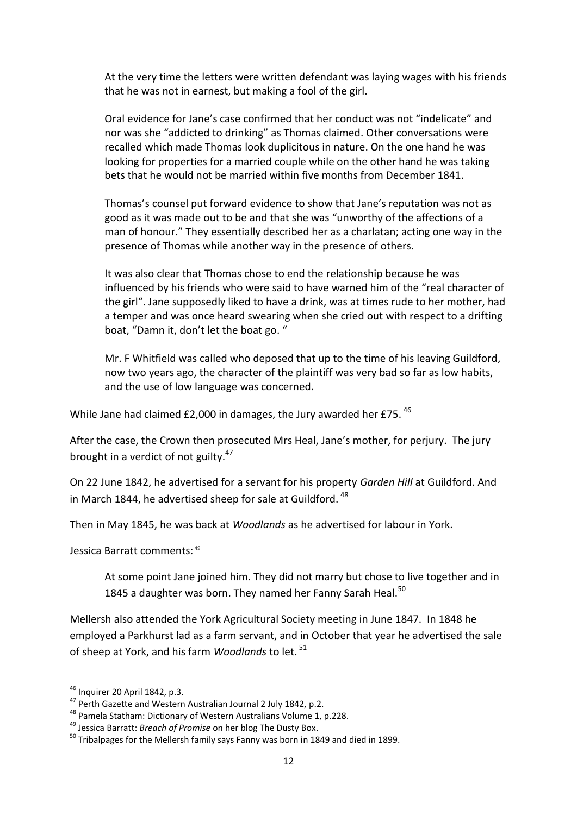At the very time the letters were written defendant was laying wages with his friends that he was not in earnest, but making a fool of the girl.

Oral evidence for Jane's case confirmed that her conduct was not "indelicate" and nor was she "addicted to drinking" as Thomas claimed. Other conversations were recalled which made Thomas look duplicitous in nature. On the one hand he was looking for properties for a married couple while on the other hand he was taking bets that he would not be married within five months from December 1841.

Thomas's counsel put forward evidence to show that Jane's reputation was not as good as it was made out to be and that she was "unworthy of the affections of a man of honour." They essentially described her as a charlatan; acting one way in the presence of Thomas while another way in the presence of others.

It was also clear that Thomas chose to end the relationship because he was influenced by his friends who were said to have warned him of the "real character of the girl". Jane supposedly liked to have a drink, was at times rude to her mother, had a temper and was once heard swearing when she cried out with respect to a drifting boat, "Damn it, don't let the boat go. "

Mr. F Whitfield was called who deposed that up to the time of his leaving Guildford, now two years ago, the character of the plaintiff was very bad so far as low habits, and the use of low language was concerned.

While Jane had claimed £2,000 in damages, the Jury awarded her £75.<sup>46</sup>

After the case, the Crown then prosecuted Mrs Heal, Jane's mother, for perjury. The jury brought in a verdict of not guilty.<sup>47</sup>

On 22 June 1842, he advertised for a servant for his property *Garden Hill* at Guildford. And in March 1844, he advertised sheep for sale at Guildford. <sup>48</sup>

Then in May 1845, he was back at *Woodlands* as he advertised for labour in York.

Jessica Barratt comments: 49

At some point Jane joined him. They did not marry but chose to live together and in 1845 a daughter was born. They named her Fanny Sarah Heal.<sup>50</sup>

Mellersh also attended the York Agricultural Society meeting in June 1847. In 1848 he employed a Parkhurst lad as a farm servant, and in October that year he advertised the sale of sheep at York, and his farm *Woodlands* to let. <sup>51</sup>

 $\overline{\phantom{a}}$ 

 $46$  Inquirer 20 April 1842, p.3.

<sup>&</sup>lt;sup>47</sup> Perth Gazette and Western Australian Journal 2 July 1842, p.2.

<sup>48</sup> Pamela Statham: Dictionary of Western Australians Volume 1, p.228.

<sup>49</sup> Jessica Barratt: *Breach of Promise* on her blog The Dusty Box.

 $50$  Tribalpages for the Mellersh family says Fanny was born in 1849 and died in 1899.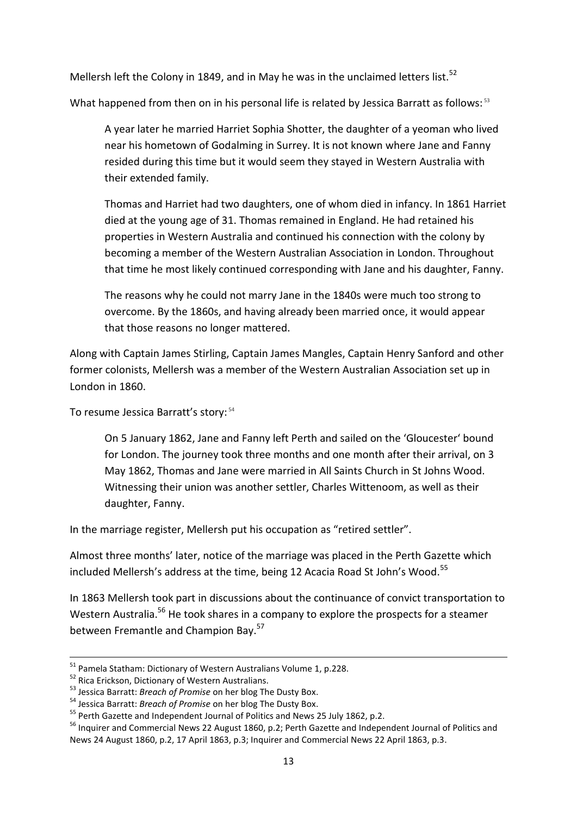Mellersh left the Colony in 1849, and in May he was in the unclaimed letters list.<sup>52</sup>

What happened from then on in his personal life is related by Jessica Barratt as follows:  $53$ 

A year later he married Harriet Sophia Shotter, the daughter of a yeoman who lived near his hometown of Godalming in Surrey. It is not known where Jane and Fanny resided during this time but it would seem they stayed in Western Australia with their extended family.

Thomas and Harriet had two daughters, one of whom died in infancy. In 1861 Harriet died at the young age of 31. Thomas remained in England. He had retained his properties in Western Australia and continued his connection with the colony by becoming a member of the Western Australian Association in London. Throughout that time he most likely continued corresponding with Jane and his daughter, Fanny.

The reasons why he could not marry Jane in the 1840s were much too strong to overcome. By the 1860s, and having already been married once, it would appear that those reasons no longer mattered.

Along with Captain James Stirling, Captain James Mangles, Captain Henry Sanford and other former colonists, Mellersh was a member of the Western Australian Association set up in London in 1860.

To resume Jessica Barratt's story: <sup>54</sup>

On 5 January 1862, Jane and Fanny left Perth and sailed on the 'Gloucester' bound for London. The journey took three months and one month after their arrival, on 3 May 1862, Thomas and Jane were married in All Saints Church in St Johns Wood. Witnessing their union was another settler, Charles Wittenoom, as well as their daughter, Fanny.

In the marriage register, Mellersh put his occupation as "retired settler".

Almost three months' later, notice of the marriage was placed in the Perth Gazette which included Mellersh's address at the time, being 12 Acacia Road St John's Wood.<sup>55</sup>

In 1863 Mellersh took part in discussions about the continuance of convict transportation to Western Australia.<sup>56</sup> He took shares in a company to explore the prospects for a steamer between Fremantle and Champion Bay.<sup>57</sup>

 $\overline{a}$ 

<sup>&</sup>lt;sup>51</sup> Pamela Statham: Dictionary of Western Australians Volume 1, p.228.

<sup>&</sup>lt;sup>52</sup> Rica Erickson, Dictionary of Western Australians.

<sup>53</sup> Jessica Barratt: *Breach of Promise* on her blog The Dusty Box.

<sup>54</sup> Jessica Barratt: *Breach of Promise* on her blog The Dusty Box.

<sup>&</sup>lt;sup>55</sup> Perth Gazette and Independent Journal of Politics and News 25 July 1862, p.2.

<sup>&</sup>lt;sup>56</sup> Inquirer and Commercial News 22 August 1860, p.2; Perth Gazette and Independent Journal of Politics and News 24 August 1860, p.2, 17 April 1863, p.3; Inquirer and Commercial News 22 April 1863, p.3.